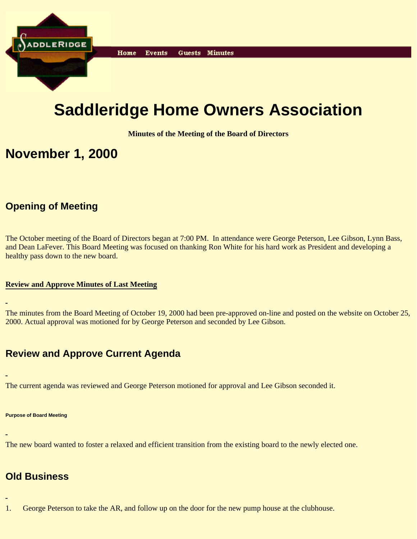

# **Saddleridge Home Owners Association**

**Minutes of the Meeting of the Board of Directors**

## **November 1, 2000**

## **Opening of Meeting**

The October meeting of the Board of Directors began at 7:00 PM. In attendance were George Peterson, Lee Gibson, Lynn Bass, and Dean LaFever. This Board Meeting was focused on thanking Ron White for his hard work as President and developing a healthy pass down to the new board.

#### **Review and Approve Minutes of Last Meeting**

The minutes from the Board Meeting of October 19, 2000 had been pre-approved on-line and posted on the website on October 25, 2000. Actual approval was motioned for by George Peterson and seconded by Lee Gibson.

## **Review and Approve Current Agenda**

The current agenda was reviewed and George Peterson motioned for approval and Lee Gibson seconded it.

#### **Purpose of Board Meeting**

The new board wanted to foster a relaxed and efficient transition from the existing board to the newly elected one.

## **Old Business**

1. George Peterson to take the AR, and follow up on the door for the new pump house at the clubhouse.